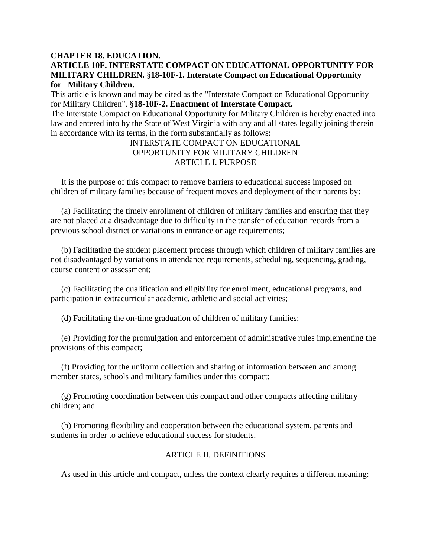### **CHAPTER 18. EDUCATION.**

# **ARTICLE 10F. INTERSTATE COMPACT ON EDUCATIONAL OPPORTUNITY FOR MILITARY CHILDREN.** §**18-10F-1. Interstate Compact on Educational Opportunity for Military Children.**

This article is known and may be cited as the "Interstate Compact on Educational Opportunity for Military Children". §**18-10F-2. Enactment of Interstate Compact.**  The Interstate Compact on Educational Opportunity for Military Children is hereby enacted into

law and entered into by the State of West Virginia with any and all states legally joining therein in accordance with its terms, in the form substantially as follows:

# INTERSTATE COMPACT ON EDUCATIONAL OPPORTUNITY FOR MILITARY CHILDREN ARTICLE I. PURPOSE

 It is the purpose of this compact to remove barriers to educational success imposed on children of military families because of frequent moves and deployment of their parents by:

 (a) Facilitating the timely enrollment of children of military families and ensuring that they are not placed at a disadvantage due to difficulty in the transfer of education records from a previous school district or variations in entrance or age requirements;

 (b) Facilitating the student placement process through which children of military families are not disadvantaged by variations in attendance requirements, scheduling, sequencing, grading, course content or assessment;

 (c) Facilitating the qualification and eligibility for enrollment, educational programs, and participation in extracurricular academic, athletic and social activities;

(d) Facilitating the on-time graduation of children of military families;

 (e) Providing for the promulgation and enforcement of administrative rules implementing the provisions of this compact;

 (f) Providing for the uniform collection and sharing of information between and among member states, schools and military families under this compact;

 (g) Promoting coordination between this compact and other compacts affecting military children; and

 (h) Promoting flexibility and cooperation between the educational system, parents and students in order to achieve educational success for students.

# ARTICLE II. DEFINITIONS

As used in this article and compact, unless the context clearly requires a different meaning: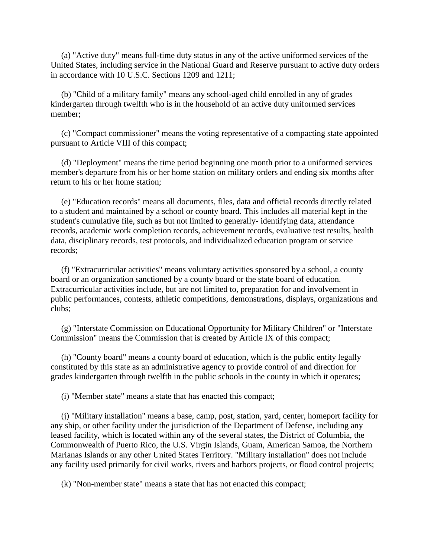(a) "Active duty" means full-time duty status in any of the active uniformed services of the United States, including service in the National Guard and Reserve pursuant to active duty orders in accordance with 10 U.S.C. Sections 1209 and 1211;

 (b) "Child of a military family" means any school-aged child enrolled in any of grades kindergarten through twelfth who is in the household of an active duty uniformed services member;

 (c) "Compact commissioner" means the voting representative of a compacting state appointed pursuant to Article VIII of this compact;

 (d) "Deployment" means the time period beginning one month prior to a uniformed services member's departure from his or her home station on military orders and ending six months after return to his or her home station;

 (e) "Education records" means all documents, files, data and official records directly related to a student and maintained by a school or county board. This includes all material kept in the student's cumulative file, such as but not limited to generally- identifying data, attendance records, academic work completion records, achievement records, evaluative test results, health data, disciplinary records, test protocols, and individualized education program or service records;

 (f) "Extracurricular activities" means voluntary activities sponsored by a school, a county board or an organization sanctioned by a county board or the state board of education. Extracurricular activities include, but are not limited to, preparation for and involvement in public performances, contests, athletic competitions, demonstrations, displays, organizations and clubs;

 (g) "Interstate Commission on Educational Opportunity for Military Children" or "Interstate Commission" means the Commission that is created by Article IX of this compact;

 (h) "County board" means a county board of education, which is the public entity legally constituted by this state as an administrative agency to provide control of and direction for grades kindergarten through twelfth in the public schools in the county in which it operates;

(i) "Member state" means a state that has enacted this compact;

 (j) "Military installation" means a base, camp, post, station, yard, center, homeport facility for any ship, or other facility under the jurisdiction of the Department of Defense, including any leased facility, which is located within any of the several states, the District of Columbia, the Commonwealth of Puerto Rico, the U.S. Virgin Islands, Guam, American Samoa, the Northern Marianas Islands or any other United States Territory. "Military installation" does not include any facility used primarily for civil works, rivers and harbors projects, or flood control projects;

(k) "Non-member state" means a state that has not enacted this compact;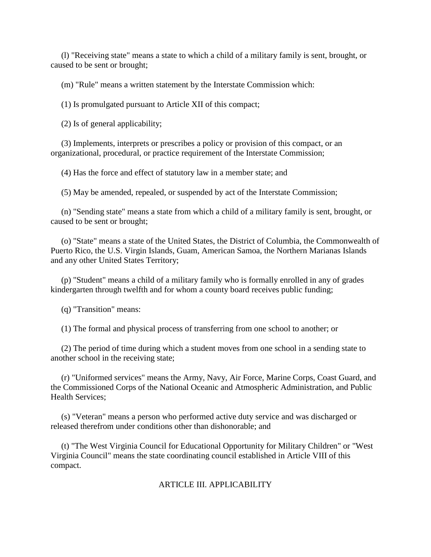(l) "Receiving state" means a state to which a child of a military family is sent, brought, or caused to be sent or brought;

(m) "Rule" means a written statement by the Interstate Commission which:

(1) Is promulgated pursuant to Article XII of this compact;

(2) Is of general applicability;

 (3) Implements, interprets or prescribes a policy or provision of this compact, or an organizational, procedural, or practice requirement of the Interstate Commission;

(4) Has the force and effect of statutory law in a member state; and

(5) May be amended, repealed, or suspended by act of the Interstate Commission;

 (n) "Sending state" means a state from which a child of a military family is sent, brought, or caused to be sent or brought;

 (o) "State" means a state of the United States, the District of Columbia, the Commonwealth of Puerto Rico, the U.S. Virgin Islands, Guam, American Samoa, the Northern Marianas Islands and any other United States Territory;

 (p) "Student" means a child of a military family who is formally enrolled in any of grades kindergarten through twelfth and for whom a county board receives public funding;

(q) "Transition" means:

(1) The formal and physical process of transferring from one school to another; or

 (2) The period of time during which a student moves from one school in a sending state to another school in the receiving state;

 (r) "Uniformed services" means the Army, Navy, Air Force, Marine Corps, Coast Guard, and the Commissioned Corps of the National Oceanic and Atmospheric Administration, and Public Health Services;

 (s) "Veteran" means a person who performed active duty service and was discharged or released therefrom under conditions other than dishonorable; and

 (t) "The West Virginia Council for Educational Opportunity for Military Children" or "West Virginia Council" means the state coordinating council established in Article VIII of this compact.

ARTICLE III. APPLICABILITY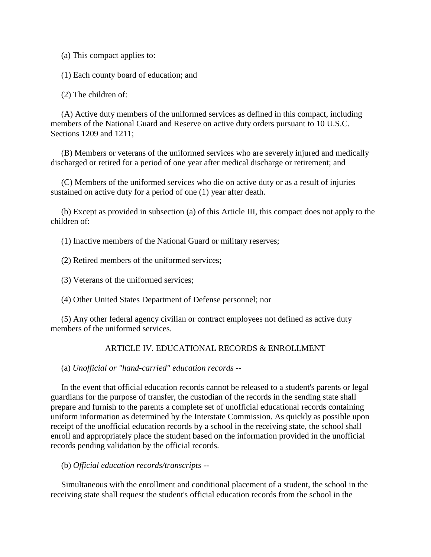(a) This compact applies to:

(1) Each county board of education; and

(2) The children of:

 (A) Active duty members of the uniformed services as defined in this compact, including members of the National Guard and Reserve on active duty orders pursuant to 10 U.S.C. Sections 1209 and 1211;

 (B) Members or veterans of the uniformed services who are severely injured and medically discharged or retired for a period of one year after medical discharge or retirement; and

 (C) Members of the uniformed services who die on active duty or as a result of injuries sustained on active duty for a period of one (1) year after death.

 (b) Except as provided in subsection (a) of this Article III, this compact does not apply to the children of:

(1) Inactive members of the National Guard or military reserves;

(2) Retired members of the uniformed services;

(3) Veterans of the uniformed services;

(4) Other United States Department of Defense personnel; nor

 (5) Any other federal agency civilian or contract employees not defined as active duty members of the uniformed services.

## ARTICLE IV. EDUCATIONAL RECORDS & ENROLLMENT

(a) *Unofficial or "hand-carried" education records --*

 In the event that official education records cannot be released to a student's parents or legal guardians for the purpose of transfer, the custodian of the records in the sending state shall prepare and furnish to the parents a complete set of unofficial educational records containing uniform information as determined by the Interstate Commission. As quickly as possible upon receipt of the unofficial education records by a school in the receiving state, the school shall enroll and appropriately place the student based on the information provided in the unofficial records pending validation by the official records.

### (b) *Official education records/transcripts --*

 Simultaneous with the enrollment and conditional placement of a student, the school in the receiving state shall request the student's official education records from the school in the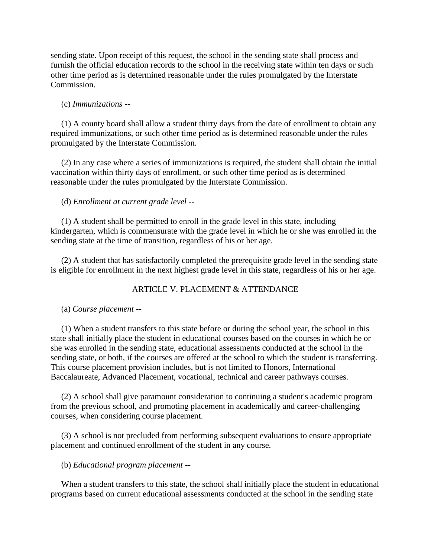sending state. Upon receipt of this request, the school in the sending state shall process and furnish the official education records to the school in the receiving state within ten days or such other time period as is determined reasonable under the rules promulgated by the Interstate Commission.

### (c) *Immunizations --*

 (1) A county board shall allow a student thirty days from the date of enrollment to obtain any required immunizations, or such other time period as is determined reasonable under the rules promulgated by the Interstate Commission.

 (2) In any case where a series of immunizations is required, the student shall obtain the initial vaccination within thirty days of enrollment, or such other time period as is determined reasonable under the rules promulgated by the Interstate Commission.

### (d) *Enrollment at current grade level --*

 (1) A student shall be permitted to enroll in the grade level in this state, including kindergarten, which is commensurate with the grade level in which he or she was enrolled in the sending state at the time of transition, regardless of his or her age.

 (2) A student that has satisfactorily completed the prerequisite grade level in the sending state is eligible for enrollment in the next highest grade level in this state, regardless of his or her age.

## ARTICLE V. PLACEMENT & ATTENDANCE

#### (a) *Course placement --*

 (1) When a student transfers to this state before or during the school year, the school in this state shall initially place the student in educational courses based on the courses in which he or she was enrolled in the sending state, educational assessments conducted at the school in the sending state, or both, if the courses are offered at the school to which the student is transferring. This course placement provision includes, but is not limited to Honors, International Baccalaureate, Advanced Placement, vocational, technical and career pathways courses.

 (2) A school shall give paramount consideration to continuing a student's academic program from the previous school, and promoting placement in academically and career-challenging courses, when considering course placement.

 (3) A school is not precluded from performing subsequent evaluations to ensure appropriate placement and continued enrollment of the student in any course.

#### (b) *Educational program placement --*

 When a student transfers to this state, the school shall initially place the student in educational programs based on current educational assessments conducted at the school in the sending state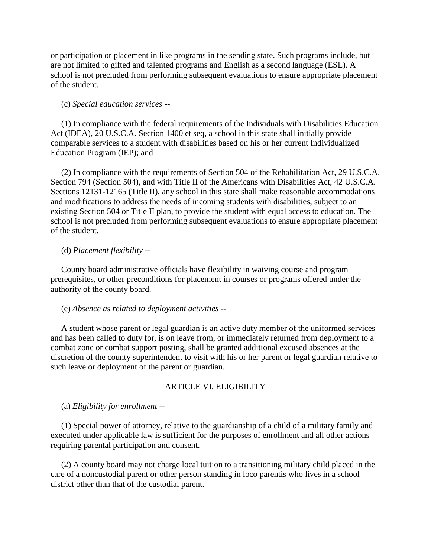or participation or placement in like programs in the sending state. Such programs include, but are not limited to gifted and talented programs and English as a second language (ESL). A school is not precluded from performing subsequent evaluations to ensure appropriate placement of the student.

#### (c) *Special education services --*

 (1) In compliance with the federal requirements of the Individuals with Disabilities Education Act (IDEA), 20 U.S.C.A. Section 1400 et seq, a school in this state shall initially provide comparable services to a student with disabilities based on his or her current Individualized Education Program (IEP); and

 (2) In compliance with the requirements of Section 504 of the Rehabilitation Act, 29 U.S.C.A. Section 794 (Section 504), and with Title II of the Americans with Disabilities Act, 42 U.S.C.A. Sections 12131-12165 (Title II), any school in this state shall make reasonable accommodations and modifications to address the needs of incoming students with disabilities, subject to an existing Section 504 or Title II plan, to provide the student with equal access to education. The school is not precluded from performing subsequent evaluations to ensure appropriate placement of the student.

#### (d) *Placement flexibility --*

 County board administrative officials have flexibility in waiving course and program prerequisites, or other preconditions for placement in courses or programs offered under the authority of the county board.

#### (e) *Absence as related to deployment activities --*

 A student whose parent or legal guardian is an active duty member of the uniformed services and has been called to duty for, is on leave from, or immediately returned from deployment to a combat zone or combat support posting, shall be granted additional excused absences at the discretion of the county superintendent to visit with his or her parent or legal guardian relative to such leave or deployment of the parent or guardian.

### ARTICLE VI. ELIGIBILITY

(a) *Eligibility for enrollment --*

 (1) Special power of attorney, relative to the guardianship of a child of a military family and executed under applicable law is sufficient for the purposes of enrollment and all other actions requiring parental participation and consent.

 (2) A county board may not charge local tuition to a transitioning military child placed in the care of a noncustodial parent or other person standing in loco parentis who lives in a school district other than that of the custodial parent.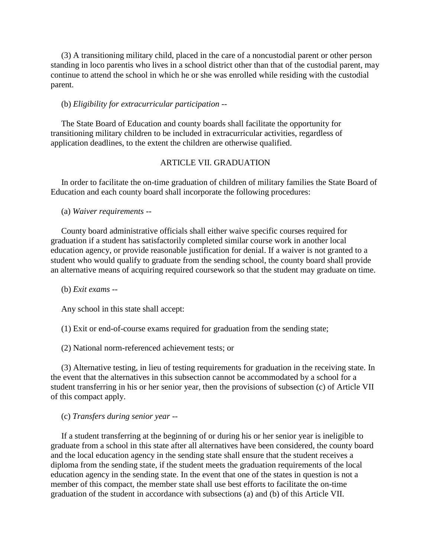(3) A transitioning military child, placed in the care of a noncustodial parent or other person standing in loco parentis who lives in a school district other than that of the custodial parent, may continue to attend the school in which he or she was enrolled while residing with the custodial parent.

### (b) *Eligibility for extracurricular participation --*

 The State Board of Education and county boards shall facilitate the opportunity for transitioning military children to be included in extracurricular activities, regardless of application deadlines, to the extent the children are otherwise qualified.

## ARTICLE VII. GRADUATION

 In order to facilitate the on-time graduation of children of military families the State Board of Education and each county board shall incorporate the following procedures:

(a) *Waiver requirements --*

 County board administrative officials shall either waive specific courses required for graduation if a student has satisfactorily completed similar course work in another local education agency, or provide reasonable justification for denial. If a waiver is not granted to a student who would qualify to graduate from the sending school, the county board shall provide an alternative means of acquiring required coursework so that the student may graduate on time.

(b) *Exit exams --*

Any school in this state shall accept:

(1) Exit or end-of-course exams required for graduation from the sending state;

(2) National norm-referenced achievement tests; or

 (3) Alternative testing, in lieu of testing requirements for graduation in the receiving state. In the event that the alternatives in this subsection cannot be accommodated by a school for a student transferring in his or her senior year, then the provisions of subsection (c) of Article VII of this compact apply.

(c) *Transfers during senior year --*

 If a student transferring at the beginning of or during his or her senior year is ineligible to graduate from a school in this state after all alternatives have been considered, the county board and the local education agency in the sending state shall ensure that the student receives a diploma from the sending state, if the student meets the graduation requirements of the local education agency in the sending state. In the event that one of the states in question is not a member of this compact, the member state shall use best efforts to facilitate the on-time graduation of the student in accordance with subsections (a) and (b) of this Article VII.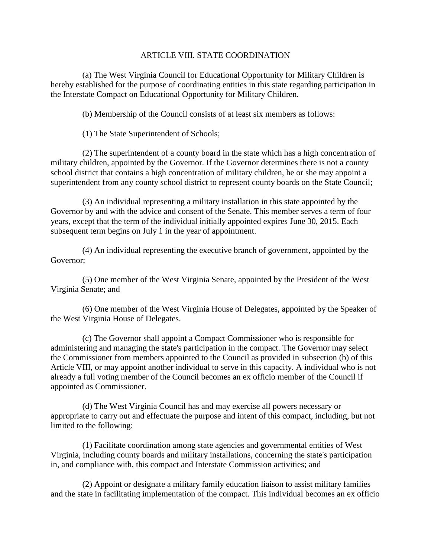# ARTICLE VIII. STATE COORDINATION

 (a) The West Virginia Council for Educational Opportunity for Military Children is hereby established for the purpose of coordinating entities in this state regarding participation in the Interstate Compact on Educational Opportunity for Military Children.

(b) Membership of the Council consists of at least six members as follows:

(1) The State Superintendent of Schools;

 (2) The superintendent of a county board in the state which has a high concentration of military children, appointed by the Governor. If the Governor determines there is not a county school district that contains a high concentration of military children, he or she may appoint a superintendent from any county school district to represent county boards on the State Council;

 (3) An individual representing a military installation in this state appointed by the Governor by and with the advice and consent of the Senate. This member serves a term of four years, except that the term of the individual initially appointed expires June 30, 2015. Each subsequent term begins on July 1 in the year of appointment.

 (4) An individual representing the executive branch of government, appointed by the Governor;

 (5) One member of the West Virginia Senate, appointed by the President of the West Virginia Senate; and

 (6) One member of the West Virginia House of Delegates, appointed by the Speaker of the West Virginia House of Delegates.

 (c) The Governor shall appoint a Compact Commissioner who is responsible for administering and managing the state's participation in the compact. The Governor may select the Commissioner from members appointed to the Council as provided in subsection (b) of this Article VIII, or may appoint another individual to serve in this capacity. A individual who is not already a full voting member of the Council becomes an ex officio member of the Council if appointed as Commissioner.

 (d) The West Virginia Council has and may exercise all powers necessary or appropriate to carry out and effectuate the purpose and intent of this compact, including, but not limited to the following:

 (1) Facilitate coordination among state agencies and governmental entities of West Virginia, including county boards and military installations, concerning the state's participation in, and compliance with, this compact and Interstate Commission activities; and

 (2) Appoint or designate a military family education liaison to assist military families and the state in facilitating implementation of the compact. This individual becomes an ex officio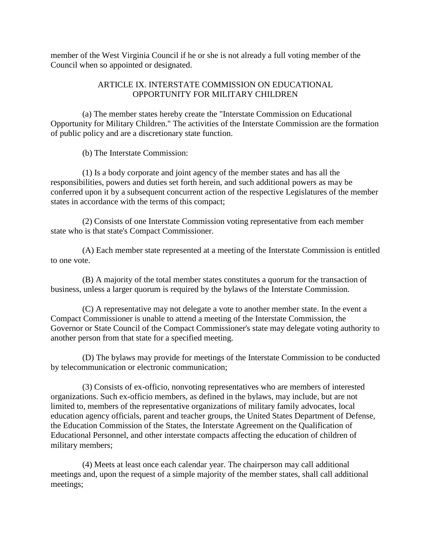member of the West Virginia Council if he or she is not already a full voting member of the Council when so appointed or designated.

# ARTICLE IX. INTERSTATE COMMISSION ON EDUCATIONAL OPPORTUNITY FOR MILITARY CHILDREN

 (a) The member states hereby create the "Interstate Commission on Educational Opportunity for Military Children." The activities of the Interstate Commission are the formation of public policy and are a discretionary state function.

(b) The Interstate Commission:

 (1) Is a body corporate and joint agency of the member states and has all the responsibilities, powers and duties set forth herein, and such additional powers as may be conferred upon it by a subsequent concurrent action of the respective Legislatures of the member states in accordance with the terms of this compact;

 (2) Consists of one Interstate Commission voting representative from each member state who is that state's Compact Commissioner.

 (A) Each member state represented at a meeting of the Interstate Commission is entitled to one vote.

 (B) A majority of the total member states constitutes a quorum for the transaction of business, unless a larger quorum is required by the bylaws of the Interstate Commission.

 (C) A representative may not delegate a vote to another member state. In the event a Compact Commissioner is unable to attend a meeting of the Interstate Commission, the Governor or State Council of the Compact Commissioner's state may delegate voting authority to another person from that state for a specified meeting.

 (D) The bylaws may provide for meetings of the Interstate Commission to be conducted by telecommunication or electronic communication;

 (3) Consists of ex-officio, nonvoting representatives who are members of interested organizations. Such ex-officio members, as defined in the bylaws, may include, but are not limited to, members of the representative organizations of military family advocates, local education agency officials, parent and teacher groups, the United States Department of Defense, the Education Commission of the States, the Interstate Agreement on the Qualification of Educational Personnel, and other interstate compacts affecting the education of children of military members;

 (4) Meets at least once each calendar year. The chairperson may call additional meetings and, upon the request of a simple majority of the member states, shall call additional meetings;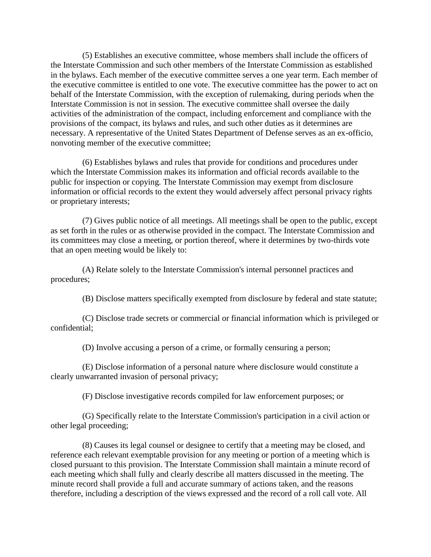(5) Establishes an executive committee, whose members shall include the officers of the Interstate Commission and such other members of the Interstate Commission as established in the bylaws. Each member of the executive committee serves a one year term. Each member of the executive committee is entitled to one vote. The executive committee has the power to act on behalf of the Interstate Commission, with the exception of rulemaking, during periods when the Interstate Commission is not in session. The executive committee shall oversee the daily activities of the administration of the compact, including enforcement and compliance with the provisions of the compact, its bylaws and rules, and such other duties as it determines are necessary. A representative of the United States Department of Defense serves as an ex-officio, nonvoting member of the executive committee;

 (6) Establishes bylaws and rules that provide for conditions and procedures under which the Interstate Commission makes its information and official records available to the public for inspection or copying. The Interstate Commission may exempt from disclosure information or official records to the extent they would adversely affect personal privacy rights or proprietary interests;

 (7) Gives public notice of all meetings. All meetings shall be open to the public, except as set forth in the rules or as otherwise provided in the compact. The Interstate Commission and its committees may close a meeting, or portion thereof, where it determines by two-thirds vote that an open meeting would be likely to:

 (A) Relate solely to the Interstate Commission's internal personnel practices and procedures;

(B) Disclose matters specifically exempted from disclosure by federal and state statute;

 (C) Disclose trade secrets or commercial or financial information which is privileged or confidential;

(D) Involve accusing a person of a crime, or formally censuring a person;

 (E) Disclose information of a personal nature where disclosure would constitute a clearly unwarranted invasion of personal privacy;

(F) Disclose investigative records compiled for law enforcement purposes; or

 (G) Specifically relate to the Interstate Commission's participation in a civil action or other legal proceeding;

 (8) Causes its legal counsel or designee to certify that a meeting may be closed, and reference each relevant exemptable provision for any meeting or portion of a meeting which is closed pursuant to this provision. The Interstate Commission shall maintain a minute record of each meeting which shall fully and clearly describe all matters discussed in the meeting. The minute record shall provide a full and accurate summary of actions taken, and the reasons therefore, including a description of the views expressed and the record of a roll call vote. All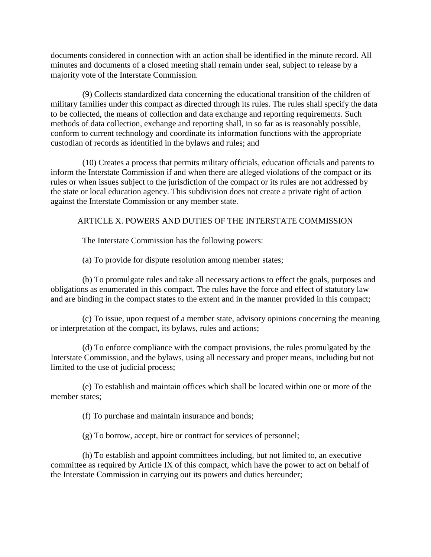documents considered in connection with an action shall be identified in the minute record. All minutes and documents of a closed meeting shall remain under seal, subject to release by a majority vote of the Interstate Commission.

 (9) Collects standardized data concerning the educational transition of the children of military families under this compact as directed through its rules. The rules shall specify the data to be collected, the means of collection and data exchange and reporting requirements. Such methods of data collection, exchange and reporting shall, in so far as is reasonably possible, conform to current technology and coordinate its information functions with the appropriate custodian of records as identified in the bylaws and rules; and

 (10) Creates a process that permits military officials, education officials and parents to inform the Interstate Commission if and when there are alleged violations of the compact or its rules or when issues subject to the jurisdiction of the compact or its rules are not addressed by the state or local education agency. This subdivision does not create a private right of action against the Interstate Commission or any member state.

# ARTICLE X. POWERS AND DUTIES OF THE INTERSTATE COMMISSION

The Interstate Commission has the following powers:

(a) To provide for dispute resolution among member states;

 (b) To promulgate rules and take all necessary actions to effect the goals, purposes and obligations as enumerated in this compact. The rules have the force and effect of statutory law and are binding in the compact states to the extent and in the manner provided in this compact;

 (c) To issue, upon request of a member state, advisory opinions concerning the meaning or interpretation of the compact, its bylaws, rules and actions;

 (d) To enforce compliance with the compact provisions, the rules promulgated by the Interstate Commission, and the bylaws, using all necessary and proper means, including but not limited to the use of judicial process;

 (e) To establish and maintain offices which shall be located within one or more of the member states;

(f) To purchase and maintain insurance and bonds;

(g) To borrow, accept, hire or contract for services of personnel;

 (h) To establish and appoint committees including, but not limited to, an executive committee as required by Article IX of this compact, which have the power to act on behalf of the Interstate Commission in carrying out its powers and duties hereunder;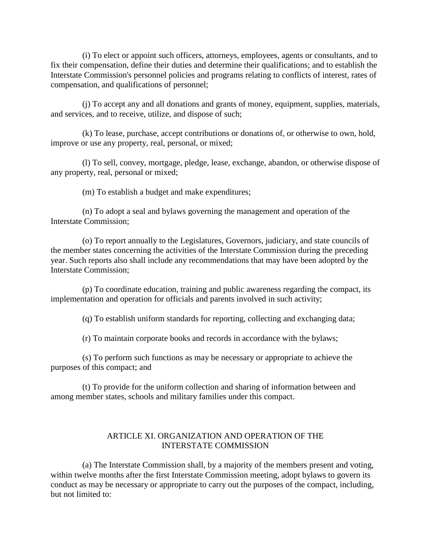(i) To elect or appoint such officers, attorneys, employees, agents or consultants, and to fix their compensation, define their duties and determine their qualifications; and to establish the Interstate Commission's personnel policies and programs relating to conflicts of interest, rates of compensation, and qualifications of personnel;

 (j) To accept any and all donations and grants of money, equipment, supplies, materials, and services, and to receive, utilize, and dispose of such;

 (k) To lease, purchase, accept contributions or donations of, or otherwise to own, hold, improve or use any property, real, personal, or mixed;

 (l) To sell, convey, mortgage, pledge, lease, exchange, abandon, or otherwise dispose of any property, real, personal or mixed;

(m) To establish a budget and make expenditures;

 (n) To adopt a seal and bylaws governing the management and operation of the Interstate Commission;

 (o) To report annually to the Legislatures, Governors, judiciary, and state councils of the member states concerning the activities of the Interstate Commission during the preceding year. Such reports also shall include any recommendations that may have been adopted by the Interstate Commission;

 (p) To coordinate education, training and public awareness regarding the compact, its implementation and operation for officials and parents involved in such activity;

(q) To establish uniform standards for reporting, collecting and exchanging data;

(r) To maintain corporate books and records in accordance with the bylaws;

 (s) To perform such functions as may be necessary or appropriate to achieve the purposes of this compact; and

 (t) To provide for the uniform collection and sharing of information between and among member states, schools and military families under this compact.

### ARTICLE XI. ORGANIZATION AND OPERATION OF THE INTERSTATE COMMISSION

 (a) The Interstate Commission shall, by a majority of the members present and voting, within twelve months after the first Interstate Commission meeting, adopt bylaws to govern its conduct as may be necessary or appropriate to carry out the purposes of the compact, including, but not limited to: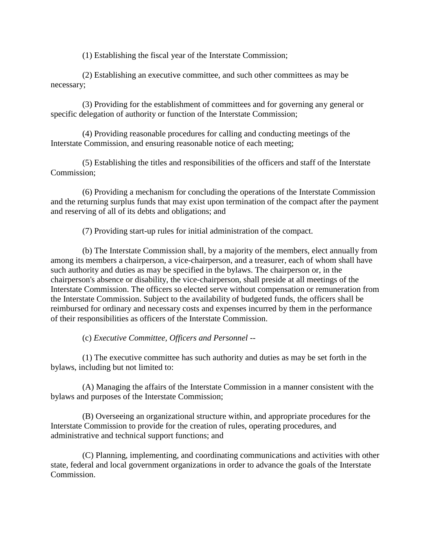(1) Establishing the fiscal year of the Interstate Commission;

 (2) Establishing an executive committee, and such other committees as may be necessary;

 (3) Providing for the establishment of committees and for governing any general or specific delegation of authority or function of the Interstate Commission;

 (4) Providing reasonable procedures for calling and conducting meetings of the Interstate Commission, and ensuring reasonable notice of each meeting;

 (5) Establishing the titles and responsibilities of the officers and staff of the Interstate Commission;

 (6) Providing a mechanism for concluding the operations of the Interstate Commission and the returning surplus funds that may exist upon termination of the compact after the payment and reserving of all of its debts and obligations; and

(7) Providing start-up rules for initial administration of the compact.

 (b) The Interstate Commission shall, by a majority of the members, elect annually from among its members a chairperson, a vice-chairperson, and a treasurer, each of whom shall have such authority and duties as may be specified in the bylaws. The chairperson or, in the chairperson's absence or disability, the vice-chairperson, shall preside at all meetings of the Interstate Commission. The officers so elected serve without compensation or remuneration from the Interstate Commission. Subject to the availability of budgeted funds, the officers shall be reimbursed for ordinary and necessary costs and expenses incurred by them in the performance of their responsibilities as officers of the Interstate Commission.

(c) *Executive Committee, Officers and Personnel --*

 (1) The executive committee has such authority and duties as may be set forth in the bylaws, including but not limited to:

 (A) Managing the affairs of the Interstate Commission in a manner consistent with the bylaws and purposes of the Interstate Commission;

 (B) Overseeing an organizational structure within, and appropriate procedures for the Interstate Commission to provide for the creation of rules, operating procedures, and administrative and technical support functions; and

 (C) Planning, implementing, and coordinating communications and activities with other state, federal and local government organizations in order to advance the goals of the Interstate Commission.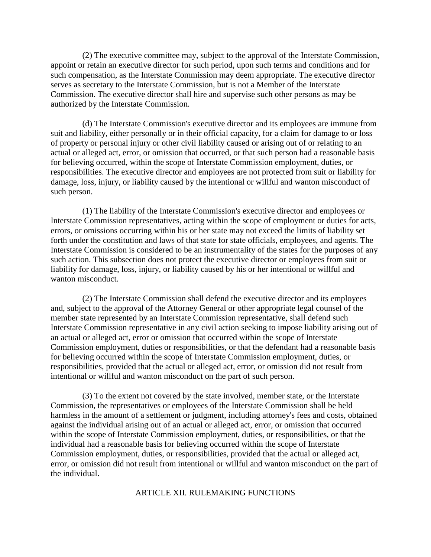(2) The executive committee may, subject to the approval of the Interstate Commission, appoint or retain an executive director for such period, upon such terms and conditions and for such compensation, as the Interstate Commission may deem appropriate. The executive director serves as secretary to the Interstate Commission, but is not a Member of the Interstate Commission. The executive director shall hire and supervise such other persons as may be authorized by the Interstate Commission.

 (d) The Interstate Commission's executive director and its employees are immune from suit and liability, either personally or in their official capacity, for a claim for damage to or loss of property or personal injury or other civil liability caused or arising out of or relating to an actual or alleged act, error, or omission that occurred, or that such person had a reasonable basis for believing occurred, within the scope of Interstate Commission employment, duties, or responsibilities. The executive director and employees are not protected from suit or liability for damage, loss, injury, or liability caused by the intentional or willful and wanton misconduct of such person.

 (1) The liability of the Interstate Commission's executive director and employees or Interstate Commission representatives, acting within the scope of employment or duties for acts, errors, or omissions occurring within his or her state may not exceed the limits of liability set forth under the constitution and laws of that state for state officials, employees, and agents. The Interstate Commission is considered to be an instrumentality of the states for the purposes of any such action. This subsection does not protect the executive director or employees from suit or liability for damage, loss, injury, or liability caused by his or her intentional or willful and wanton misconduct.

 (2) The Interstate Commission shall defend the executive director and its employees and, subject to the approval of the Attorney General or other appropriate legal counsel of the member state represented by an Interstate Commission representative, shall defend such Interstate Commission representative in any civil action seeking to impose liability arising out of an actual or alleged act, error or omission that occurred within the scope of Interstate Commission employment, duties or responsibilities, or that the defendant had a reasonable basis for believing occurred within the scope of Interstate Commission employment, duties, or responsibilities, provided that the actual or alleged act, error, or omission did not result from intentional or willful and wanton misconduct on the part of such person.

 (3) To the extent not covered by the state involved, member state, or the Interstate Commission, the representatives or employees of the Interstate Commission shall be held harmless in the amount of a settlement or judgment, including attorney's fees and costs, obtained against the individual arising out of an actual or alleged act, error, or omission that occurred within the scope of Interstate Commission employment, duties, or responsibilities, or that the individual had a reasonable basis for believing occurred within the scope of Interstate Commission employment, duties, or responsibilities, provided that the actual or alleged act, error, or omission did not result from intentional or willful and wanton misconduct on the part of the individual.

### ARTICLE XII. RULEMAKING FUNCTIONS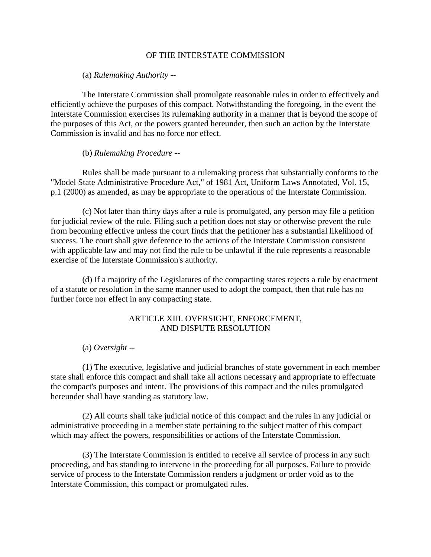### OF THE INTERSTATE COMMISSION

(a) *Rulemaking Authority --*

 The Interstate Commission shall promulgate reasonable rules in order to effectively and efficiently achieve the purposes of this compact. Notwithstanding the foregoing, in the event the Interstate Commission exercises its rulemaking authority in a manner that is beyond the scope of the purposes of this Act, or the powers granted hereunder, then such an action by the Interstate Commission is invalid and has no force nor effect.

#### (b) *Rulemaking Procedure --*

 Rules shall be made pursuant to a rulemaking process that substantially conforms to the "Model State Administrative Procedure Act," of 1981 Act, Uniform Laws Annotated, Vol. 15, p.1 (2000) as amended, as may be appropriate to the operations of the Interstate Commission.

 (c) Not later than thirty days after a rule is promulgated, any person may file a petition for judicial review of the rule. Filing such a petition does not stay or otherwise prevent the rule from becoming effective unless the court finds that the petitioner has a substantial likelihood of success. The court shall give deference to the actions of the Interstate Commission consistent with applicable law and may not find the rule to be unlawful if the rule represents a reasonable exercise of the Interstate Commission's authority.

 (d) If a majority of the Legislatures of the compacting states rejects a rule by enactment of a statute or resolution in the same manner used to adopt the compact, then that rule has no further force nor effect in any compacting state.

### ARTICLE XIII. OVERSIGHT, ENFORCEMENT, AND DISPUTE RESOLUTION

(a) *Oversight --*

 (1) The executive, legislative and judicial branches of state government in each member state shall enforce this compact and shall take all actions necessary and appropriate to effectuate the compact's purposes and intent. The provisions of this compact and the rules promulgated hereunder shall have standing as statutory law.

 (2) All courts shall take judicial notice of this compact and the rules in any judicial or administrative proceeding in a member state pertaining to the subject matter of this compact which may affect the powers, responsibilities or actions of the Interstate Commission.

 (3) The Interstate Commission is entitled to receive all service of process in any such proceeding, and has standing to intervene in the proceeding for all purposes. Failure to provide service of process to the Interstate Commission renders a judgment or order void as to the Interstate Commission, this compact or promulgated rules.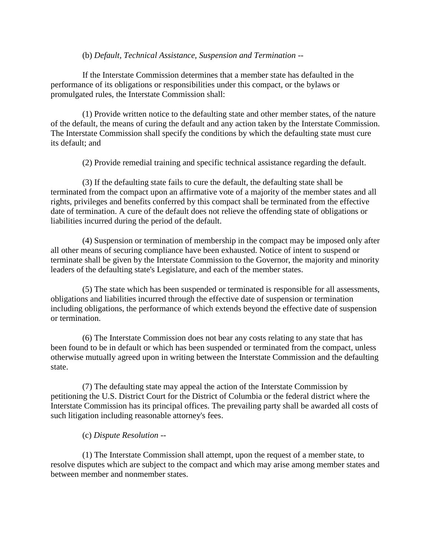### (b) *Default, Technical Assistance, Suspension and Termination --*

 If the Interstate Commission determines that a member state has defaulted in the performance of its obligations or responsibilities under this compact, or the bylaws or promulgated rules, the Interstate Commission shall:

 (1) Provide written notice to the defaulting state and other member states, of the nature of the default, the means of curing the default and any action taken by the Interstate Commission. The Interstate Commission shall specify the conditions by which the defaulting state must cure its default; and

(2) Provide remedial training and specific technical assistance regarding the default.

 (3) If the defaulting state fails to cure the default, the defaulting state shall be terminated from the compact upon an affirmative vote of a majority of the member states and all rights, privileges and benefits conferred by this compact shall be terminated from the effective date of termination. A cure of the default does not relieve the offending state of obligations or liabilities incurred during the period of the default.

 (4) Suspension or termination of membership in the compact may be imposed only after all other means of securing compliance have been exhausted. Notice of intent to suspend or terminate shall be given by the Interstate Commission to the Governor, the majority and minority leaders of the defaulting state's Legislature, and each of the member states.

 (5) The state which has been suspended or terminated is responsible for all assessments, obligations and liabilities incurred through the effective date of suspension or termination including obligations, the performance of which extends beyond the effective date of suspension or termination.

 (6) The Interstate Commission does not bear any costs relating to any state that has been found to be in default or which has been suspended or terminated from the compact, unless otherwise mutually agreed upon in writing between the Interstate Commission and the defaulting state.

 (7) The defaulting state may appeal the action of the Interstate Commission by petitioning the U.S. District Court for the District of Columbia or the federal district where the Interstate Commission has its principal offices. The prevailing party shall be awarded all costs of such litigation including reasonable attorney's fees.

## (c) *Dispute Resolution --*

 (1) The Interstate Commission shall attempt, upon the request of a member state, to resolve disputes which are subject to the compact and which may arise among member states and between member and nonmember states.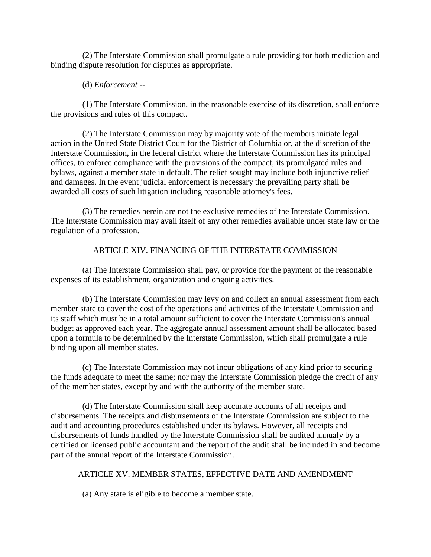(2) The Interstate Commission shall promulgate a rule providing for both mediation and binding dispute resolution for disputes as appropriate.

## (d) *Enforcement --*

 (1) The Interstate Commission, in the reasonable exercise of its discretion, shall enforce the provisions and rules of this compact.

 (2) The Interstate Commission may by majority vote of the members initiate legal action in the United State District Court for the District of Columbia or, at the discretion of the Interstate Commission, in the federal district where the Interstate Commission has its principal offices, to enforce compliance with the provisions of the compact, its promulgated rules and bylaws, against a member state in default. The relief sought may include both injunctive relief and damages. In the event judicial enforcement is necessary the prevailing party shall be awarded all costs of such litigation including reasonable attorney's fees.

 (3) The remedies herein are not the exclusive remedies of the Interstate Commission. The Interstate Commission may avail itself of any other remedies available under state law or the regulation of a profession.

# ARTICLE XIV. FINANCING OF THE INTERSTATE COMMISSION

 (a) The Interstate Commission shall pay, or provide for the payment of the reasonable expenses of its establishment, organization and ongoing activities.

 (b) The Interstate Commission may levy on and collect an annual assessment from each member state to cover the cost of the operations and activities of the Interstate Commission and its staff which must be in a total amount sufficient to cover the Interstate Commission's annual budget as approved each year. The aggregate annual assessment amount shall be allocated based upon a formula to be determined by the Interstate Commission, which shall promulgate a rule binding upon all member states.

 (c) The Interstate Commission may not incur obligations of any kind prior to securing the funds adequate to meet the same; nor may the Interstate Commission pledge the credit of any of the member states, except by and with the authority of the member state.

 (d) The Interstate Commission shall keep accurate accounts of all receipts and disbursements. The receipts and disbursements of the Interstate Commission are subject to the audit and accounting procedures established under its bylaws. However, all receipts and disbursements of funds handled by the Interstate Commission shall be audited annualy by a certified or licensed public accountant and the report of the audit shall be included in and become part of the annual report of the Interstate Commission.

# ARTICLE XV. MEMBER STATES, EFFECTIVE DATE AND AMENDMENT

(a) Any state is eligible to become a member state.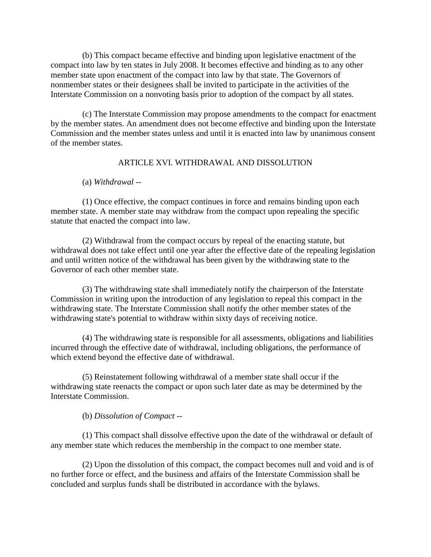(b) This compact became effective and binding upon legislative enactment of the compact into law by ten states in July 2008. It becomes effective and binding as to any other member state upon enactment of the compact into law by that state. The Governors of nonmember states or their designees shall be invited to participate in the activities of the Interstate Commission on a nonvoting basis prior to adoption of the compact by all states.

 (c) The Interstate Commission may propose amendments to the compact for enactment by the member states. An amendment does not become effective and binding upon the Interstate Commission and the member states unless and until it is enacted into law by unanimous consent of the member states.

## ARTICLE XVI. WITHDRAWAL AND DISSOLUTION

(a) *Withdrawal --*

 (1) Once effective, the compact continues in force and remains binding upon each member state. A member state may withdraw from the compact upon repealing the specific statute that enacted the compact into law.

 (2) Withdrawal from the compact occurs by repeal of the enacting statute, but withdrawal does not take effect until one year after the effective date of the repealing legislation and until written notice of the withdrawal has been given by the withdrawing state to the Governor of each other member state.

 (3) The withdrawing state shall immediately notify the chairperson of the Interstate Commission in writing upon the introduction of any legislation to repeal this compact in the withdrawing state. The Interstate Commission shall notify the other member states of the withdrawing state's potential to withdraw within sixty days of receiving notice.

 (4) The withdrawing state is responsible for all assessments, obligations and liabilities incurred through the effective date of withdrawal, including obligations, the performance of which extend beyond the effective date of withdrawal.

 (5) Reinstatement following withdrawal of a member state shall occur if the withdrawing state reenacts the compact or upon such later date as may be determined by the Interstate Commission.

(b) *Dissolution of Compact --*

 (1) This compact shall dissolve effective upon the date of the withdrawal or default of any member state which reduces the membership in the compact to one member state.

 (2) Upon the dissolution of this compact, the compact becomes null and void and is of no further force or effect, and the business and affairs of the Interstate Commission shall be concluded and surplus funds shall be distributed in accordance with the bylaws.